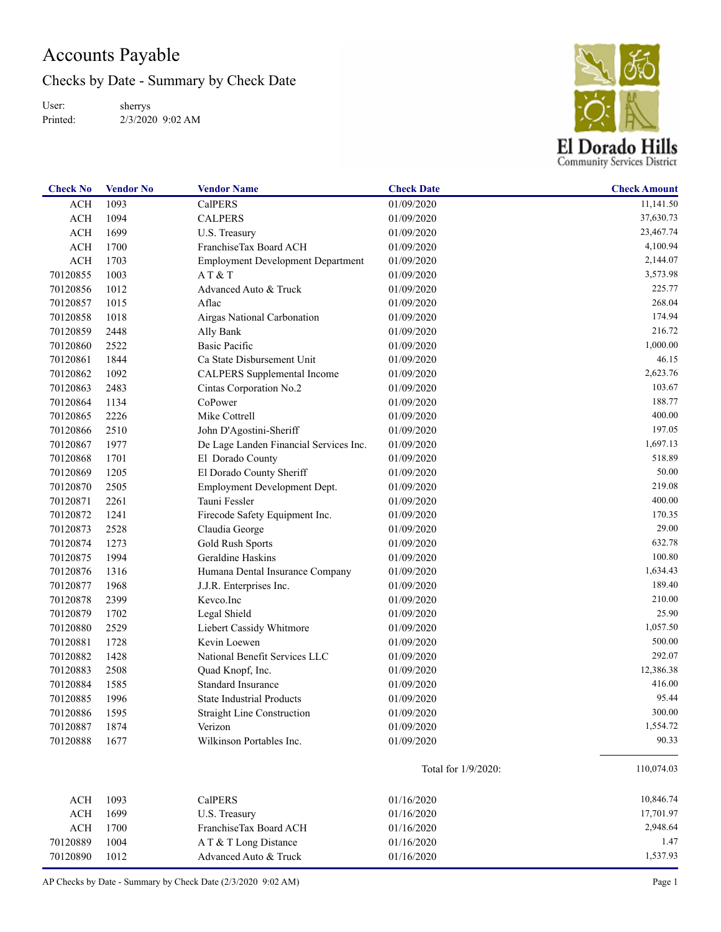## Accounts Payable

Checks by Date - Summary by Check Date

User: Printed: sherrys 2/3/2020 9:02 AM



| <b>Check No</b> | <b>Vendor No</b> | <b>Vendor Name</b>                       | <b>Check Date</b>   | <b>Check Amount</b> |
|-----------------|------------------|------------------------------------------|---------------------|---------------------|
| <b>ACH</b>      | 1093             | <b>CalPERS</b>                           | 01/09/2020          | 11,141.50           |
| <b>ACH</b>      | 1094             | <b>CALPERS</b>                           | 01/09/2020          | 37,630.73           |
| <b>ACH</b>      | 1699             | U.S. Treasury                            | 01/09/2020          | 23,467.74           |
| <b>ACH</b>      | 1700             | FranchiseTax Board ACH                   | 01/09/2020          | 4,100.94            |
| <b>ACH</b>      | 1703             | <b>Employment Development Department</b> | 01/09/2020          | 2,144.07            |
| 70120855        | 1003             | AT & T                                   | 01/09/2020          | 3,573.98            |
| 70120856        | 1012             | Advanced Auto & Truck                    | 01/09/2020          | 225.77              |
| 70120857        | 1015             | Aflac                                    | 01/09/2020          | 268.04              |
| 70120858        | 1018             | Airgas National Carbonation              | 01/09/2020          | 174.94              |
| 70120859        | 2448             | Ally Bank                                | 01/09/2020          | 216.72              |
| 70120860        | 2522             | <b>Basic Pacific</b>                     | 01/09/2020          | 1,000.00            |
| 70120861        | 1844             | Ca State Disbursement Unit               | 01/09/2020          | 46.15               |
| 70120862        | 1092             | <b>CALPERS</b> Supplemental Income       | 01/09/2020          | 2,623.76            |
| 70120863        | 2483             | Cintas Corporation No.2                  | 01/09/2020          | 103.67              |
| 70120864        | 1134             | CoPower                                  | 01/09/2020          | 188.77              |
| 70120865        | 2226             | Mike Cottrell                            | 01/09/2020          | 400.00              |
| 70120866        | 2510             | John D'Agostini-Sheriff                  | 01/09/2020          | 197.05              |
| 70120867        | 1977             | De Lage Landen Financial Services Inc.   | 01/09/2020          | 1,697.13            |
| 70120868        | 1701             | El Dorado County                         | 01/09/2020          | 518.89              |
| 70120869        | 1205             | El Dorado County Sheriff                 | 01/09/2020          | 50.00               |
| 70120870        | 2505             | Employment Development Dept.             | 01/09/2020          | 219.08              |
| 70120871        | 2261             | Tauni Fessler                            | 01/09/2020          | 400.00              |
| 70120872        | 1241             | Firecode Safety Equipment Inc.           | 01/09/2020          | 170.35              |
| 70120873        | 2528             | Claudia George                           | 01/09/2020          | 29.00               |
| 70120874        | 1273             | Gold Rush Sports                         | 01/09/2020          | 632.78              |
| 70120875        | 1994             | Geraldine Haskins                        | 01/09/2020          | 100.80              |
| 70120876        | 1316             | Humana Dental Insurance Company          | 01/09/2020          | 1,634.43            |
| 70120877        | 1968             | J.J.R. Enterprises Inc.                  | 01/09/2020          | 189.40              |
| 70120878        | 2399             | Kevco.Inc                                | 01/09/2020          | 210.00              |
| 70120879        | 1702             | Legal Shield                             | 01/09/2020          | 25.90               |
| 70120880        | 2529             | Liebert Cassidy Whitmore                 | 01/09/2020          | 1,057.50            |
| 70120881        | 1728             | Kevin Loewen                             | 01/09/2020          | 500.00              |
| 70120882        | 1428             | National Benefit Services LLC            | 01/09/2020          | 292.07              |
| 70120883        | 2508             | Quad Knopf, Inc.                         | 01/09/2020          | 12,386.38           |
| 70120884        | 1585             | <b>Standard Insurance</b>                | 01/09/2020          | 416.00              |
| 70120885        | 1996             | <b>State Industrial Products</b>         | 01/09/2020          | 95.44               |
| 70120886        | 1595             | <b>Straight Line Construction</b>        | 01/09/2020          | 300.00              |
| 70120887        | 1874             | Verizon                                  | 01/09/2020          | 1,554.72            |
| 70120888        | 1677             | Wilkinson Portables Inc.                 | 01/09/2020          | 90.33               |
|                 |                  |                                          | Total for 1/9/2020: | 110,074.03          |
| <b>ACH</b>      | 1093             | CalPERS                                  | 01/16/2020          | 10,846.74           |
| <b>ACH</b>      | 1699             | U.S. Treasury                            | 01/16/2020          | 17,701.97           |
| <b>ACH</b>      | 1700             | FranchiseTax Board ACH                   | 01/16/2020          | 2,948.64            |
| 70120889        | 1004             | A T & T Long Distance                    | 01/16/2020          | 1.47                |
| 70120890        | 1012             | Advanced Auto & Truck                    | 01/16/2020          | 1,537.93            |
|                 |                  |                                          |                     |                     |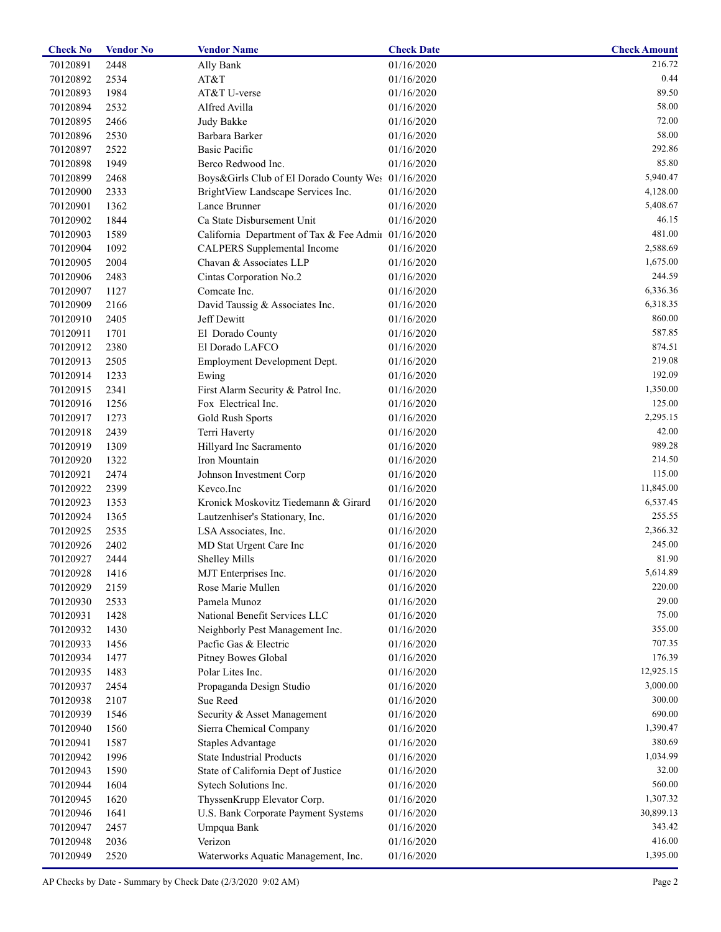| <b>Check No</b> | <b>Vendor No</b> | <b>Vendor Name</b>                                  | <b>Check Date</b> | <b>Check Amount</b> |
|-----------------|------------------|-----------------------------------------------------|-------------------|---------------------|
| 70120891        | 2448             | Ally Bank                                           | 01/16/2020        | 216.72              |
| 70120892        | 2534             | AT&T                                                | 01/16/2020        | 0.44                |
| 70120893        | 1984             | AT&T U-verse                                        | 01/16/2020        | 89.50               |
| 70120894        | 2532             | Alfred Avilla                                       | 01/16/2020        | 58.00               |
| 70120895        | 2466             | Judy Bakke                                          | 01/16/2020        | 72.00               |
| 70120896        | 2530             | Barbara Barker                                      | 01/16/2020        | 58.00               |
| 70120897        | 2522             | <b>Basic Pacific</b>                                | 01/16/2020        | 292.86              |
| 70120898        | 1949             | Berco Redwood Inc.                                  | 01/16/2020        | 85.80               |
| 70120899        | 2468             | Boys&Girls Club of El Dorado County Wes 01/16/2020  |                   | 5,940.47            |
| 70120900        | 2333             | BrightView Landscape Services Inc.                  | 01/16/2020        | 4,128.00            |
| 70120901        | 1362             | Lance Brunner                                       | 01/16/2020        | 5,408.67            |
| 70120902        | 1844             | Ca State Disbursement Unit                          | 01/16/2020        | 46.15               |
| 70120903        | 1589             | California Department of Tax & Fee Admii 01/16/2020 |                   | 481.00              |
| 70120904        | 1092             | <b>CALPERS</b> Supplemental Income                  | 01/16/2020        | 2,588.69            |
| 70120905        | 2004             | Chavan & Associates LLP                             | 01/16/2020        | 1,675.00            |
| 70120906        | 2483             | Cintas Corporation No.2                             | 01/16/2020        | 244.59              |
| 70120907        | 1127             | Comcate Inc.                                        | 01/16/2020        | 6,336.36            |
| 70120909        | 2166             |                                                     | 01/16/2020        | 6,318.35            |
| 70120910        |                  | David Taussig & Associates Inc.<br>Jeff Dewitt      |                   | 860.00              |
|                 | 2405             |                                                     | 01/16/2020        | 587.85              |
| 70120911        | 1701             | El Dorado County                                    | 01/16/2020        |                     |
| 70120912        | 2380             | El Dorado LAFCO                                     | 01/16/2020        | 874.51              |
| 70120913        | 2505             | Employment Development Dept.                        | 01/16/2020        | 219.08              |
| 70120914        | 1233             | Ewing                                               | 01/16/2020        | 192.09              |
| 70120915        | 2341             | First Alarm Security & Patrol Inc.                  | 01/16/2020        | 1,350.00            |
| 70120916        | 1256             | Fox Electrical Inc.                                 | 01/16/2020        | 125.00              |
| 70120917        | 1273             | Gold Rush Sports                                    | 01/16/2020        | 2,295.15            |
| 70120918        | 2439             | Terri Haverty                                       | 01/16/2020        | 42.00               |
| 70120919        | 1309             | Hillyard Inc Sacramento                             | 01/16/2020        | 989.28              |
| 70120920        | 1322             | Iron Mountain                                       | 01/16/2020        | 214.50              |
| 70120921        | 2474             | Johnson Investment Corp                             | 01/16/2020        | 115.00              |
| 70120922        | 2399             | Kevco.Inc                                           | 01/16/2020        | 11,845.00           |
| 70120923        | 1353             | Kronick Moskovitz Tiedemann & Girard                | 01/16/2020        | 6,537.45            |
| 70120924        | 1365             | Lautzenhiser's Stationary, Inc.                     | 01/16/2020        | 255.55              |
| 70120925        | 2535             | LSA Associates, Inc.                                | 01/16/2020        | 2,366.32            |
| 70120926        | 2402             | MD Stat Urgent Care Inc                             | 01/16/2020        | 245.00              |
| 70120927        | 2444             | <b>Shelley Mills</b>                                | 01/16/2020        | 81.90               |
| 70120928        | 1416             | MJT Enterprises Inc.                                | 01/16/2020        | 5,614.89            |
| 70120929        | 2159             | Rose Marie Mullen                                   | 01/16/2020        | 220.00              |
| 70120930        | 2533             | Pamela Munoz                                        | 01/16/2020        | 29.00               |
| 70120931        | 1428             | National Benefit Services LLC                       | 01/16/2020        | 75.00               |
| 70120932        | 1430             | Neighborly Pest Management Inc.                     | 01/16/2020        | 355.00              |
| 70120933        | 1456             | Pacfic Gas & Electric                               | 01/16/2020        | 707.35              |
| 70120934        | 1477             | Pitney Bowes Global                                 | 01/16/2020        | 176.39              |
| 70120935        | 1483             | Polar Lites Inc.                                    | 01/16/2020        | 12,925.15           |
| 70120937        | 2454             | Propaganda Design Studio                            | 01/16/2020        | 3,000.00            |
| 70120938        | 2107             | Sue Reed                                            | 01/16/2020        | 300.00              |
| 70120939        | 1546             | Security & Asset Management                         | 01/16/2020        | 690.00              |
| 70120940        | 1560             | Sierra Chemical Company                             | 01/16/2020        | 1,390.47            |
| 70120941        | 1587             | <b>Staples Advantage</b>                            | 01/16/2020        | 380.69              |
| 70120942        | 1996             | <b>State Industrial Products</b>                    | 01/16/2020        | 1,034.99            |
|                 |                  |                                                     |                   | 32.00               |
| 70120943        | 1590             | State of California Dept of Justice                 | 01/16/2020        |                     |
| 70120944        | 1604             | Sytech Solutions Inc.                               | 01/16/2020        | 560.00              |
| 70120945        | 1620             | ThyssenKrupp Elevator Corp.                         | 01/16/2020        | 1,307.32            |
| 70120946        | 1641             | U.S. Bank Corporate Payment Systems                 | 01/16/2020        | 30,899.13           |
| 70120947        | 2457             | Umpqua Bank                                         | 01/16/2020        | 343.42              |
| 70120948        | 2036             | Verizon                                             | 01/16/2020        | 416.00              |
| 70120949        | 2520             | Waterworks Aquatic Management, Inc.                 | 01/16/2020        | 1,395.00            |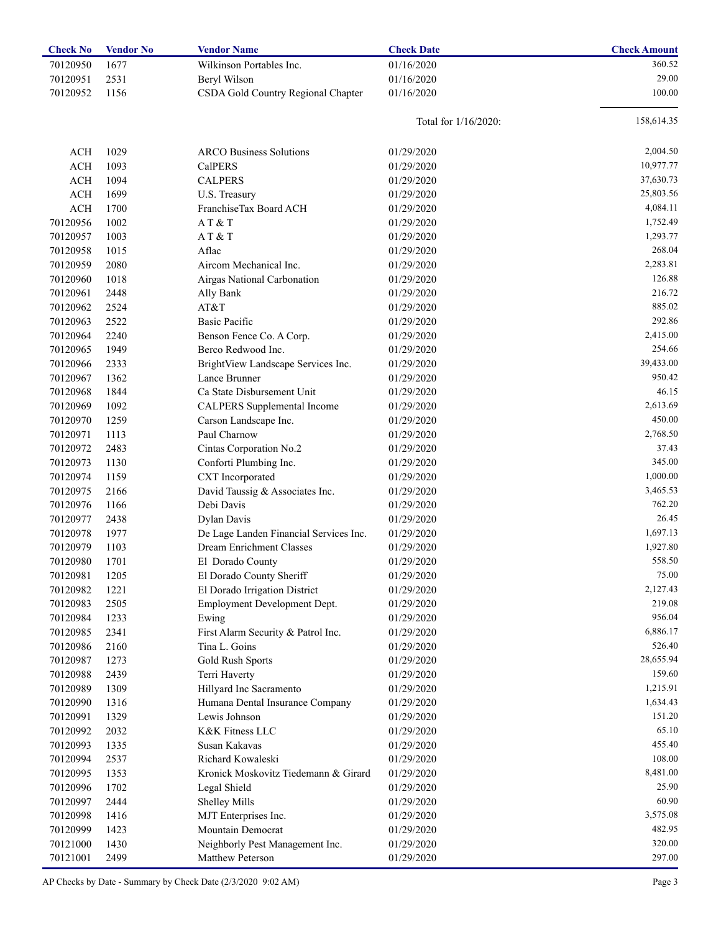| <b>Check No</b> | <b>Vendor No</b> | <b>Vendor Name</b>                     | <b>Check Date</b>       | <b>Check Amount</b> |
|-----------------|------------------|----------------------------------------|-------------------------|---------------------|
| 70120950        | 1677             | Wilkinson Portables Inc.               | 01/16/2020              | 360.52              |
| 70120951        | 2531             | Beryl Wilson                           | 01/16/2020              | 29.00               |
| 70120952        | 1156             | CSDA Gold Country Regional Chapter     | 01/16/2020              | 100.00              |
|                 |                  |                                        |                         |                     |
|                 |                  |                                        | Total for $1/16/2020$ : | 158,614.35          |
|                 |                  |                                        |                         |                     |
| <b>ACH</b>      | 1029             | <b>ARCO Business Solutions</b>         | 01/29/2020              | 2,004.50            |
| <b>ACH</b>      | 1093             | <b>CalPERS</b>                         | 01/29/2020              | 10,977.77           |
| <b>ACH</b>      | 1094             | <b>CALPERS</b>                         | 01/29/2020              | 37,630.73           |
| <b>ACH</b>      | 1699             | U.S. Treasury                          | 01/29/2020              | 25,803.56           |
| <b>ACH</b>      | 1700             | FranchiseTax Board ACH                 | 01/29/2020              | 4,084.11            |
| 70120956        | 1002             | AT & T                                 | 01/29/2020              | 1,752.49            |
| 70120957        | 1003             | AT&T                                   | 01/29/2020              | 1,293.77            |
| 70120958        | 1015             | Aflac                                  | 01/29/2020              | 268.04              |
| 70120959        | 2080             | Aircom Mechanical Inc.                 | 01/29/2020              | 2,283.81            |
| 70120960        | 1018             | Airgas National Carbonation            | 01/29/2020              | 126.88              |
| 70120961        | 2448             | Ally Bank                              | 01/29/2020              | 216.72              |
| 70120962        | 2524             | AT&T                                   | 01/29/2020              | 885.02              |
| 70120963        | 2522             | <b>Basic Pacific</b>                   | 01/29/2020              | 292.86              |
| 70120964        | 2240             | Benson Fence Co. A Corp.               | 01/29/2020              | 2,415.00            |
| 70120965        | 1949             | Berco Redwood Inc.                     | 01/29/2020              | 254.66              |
| 70120966        | 2333             | BrightView Landscape Services Inc.     | 01/29/2020              | 39,433.00           |
| 70120967        | 1362             | Lance Brunner                          | 01/29/2020              | 950.42              |
| 70120968        | 1844             | Ca State Disbursement Unit             | 01/29/2020              | 46.15               |
| 70120969        | 1092             | <b>CALPERS</b> Supplemental Income     | 01/29/2020              | 2,613.69            |
| 70120970        | 1259             | Carson Landscape Inc.                  | 01/29/2020              | 450.00              |
| 70120971        | 1113             | Paul Charnow                           | 01/29/2020              | 2,768.50            |
| 70120972        | 2483             | Cintas Corporation No.2                | 01/29/2020              | 37.43               |
| 70120973        | 1130             | Conforti Plumbing Inc.                 | 01/29/2020              | 345.00              |
| 70120974        | 1159             | CXT Incorporated                       | 01/29/2020              | 1,000.00            |
| 70120975        | 2166             | David Taussig & Associates Inc.        | 01/29/2020              | 3,465.53            |
| 70120976        | 1166             | Debi Davis                             | 01/29/2020              | 762.20              |
| 70120977        | 2438             | Dylan Davis                            | 01/29/2020              | 26.45               |
| 70120978        | 1977             | De Lage Landen Financial Services Inc. | 01/29/2020              | 1,697.13            |
| 70120979        | 1103             | Dream Enrichment Classes               | 01/29/2020              | 1,927.80            |
| 70120980        | 1701             | El Dorado County                       | 01/29/2020              | 558.50              |
| 70120981        | 1205             | El Dorado County Sheriff               | 01/29/2020              | 75.00               |
| 70120982        | 1221             | El Dorado Irrigation District          | 01/29/2020              | 2,127.43            |
| 70120983        | 2505             | Employment Development Dept.           | 01/29/2020              | 219.08              |
| 70120984        | 1233             | Ewing                                  | 01/29/2020              | 956.04              |
| 70120985        | 2341             | First Alarm Security & Patrol Inc.     | 01/29/2020              | 6,886.17            |
| 70120986        | 2160             | Tina L. Goins                          | 01/29/2020              | 526.40              |
| 70120987        | 1273             | <b>Gold Rush Sports</b>                | 01/29/2020              | 28,655.94           |
| 70120988        | 2439             | Terri Haverty                          | 01/29/2020              | 159.60              |
| 70120989        | 1309             | Hillyard Inc Sacramento                | 01/29/2020              | 1,215.91            |
| 70120990        | 1316             | Humana Dental Insurance Company        | 01/29/2020              | 1,634.43            |
| 70120991        | 1329             | Lewis Johnson                          | 01/29/2020              | 151.20              |
| 70120992        | 2032             | K&K Fitness LLC                        | 01/29/2020              | 65.10               |
| 70120993        | 1335             | Susan Kakavas                          | 01/29/2020              | 455.40              |
| 70120994        | 2537             | Richard Kowaleski                      | 01/29/2020              | 108.00              |
| 70120995        | 1353             | Kronick Moskovitz Tiedemann & Girard   | 01/29/2020              | 8,481.00            |
| 70120996        | 1702             | Legal Shield                           | 01/29/2020              | 25.90               |
| 70120997        | 2444             | <b>Shelley Mills</b>                   | 01/29/2020              | 60.90               |
| 70120998        | 1416             | MJT Enterprises Inc.                   | 01/29/2020              | 3,575.08            |
| 70120999        | 1423             | Mountain Democrat                      | 01/29/2020              | 482.95              |
| 70121000        | 1430             | Neighborly Pest Management Inc.        | 01/29/2020              | 320.00              |
| 70121001        | 2499             | Matthew Peterson                       | 01/29/2020              | 297.00              |

AP Checks by Date - Summary by Check Date (2/3/2020 9:02 AM) Page 3